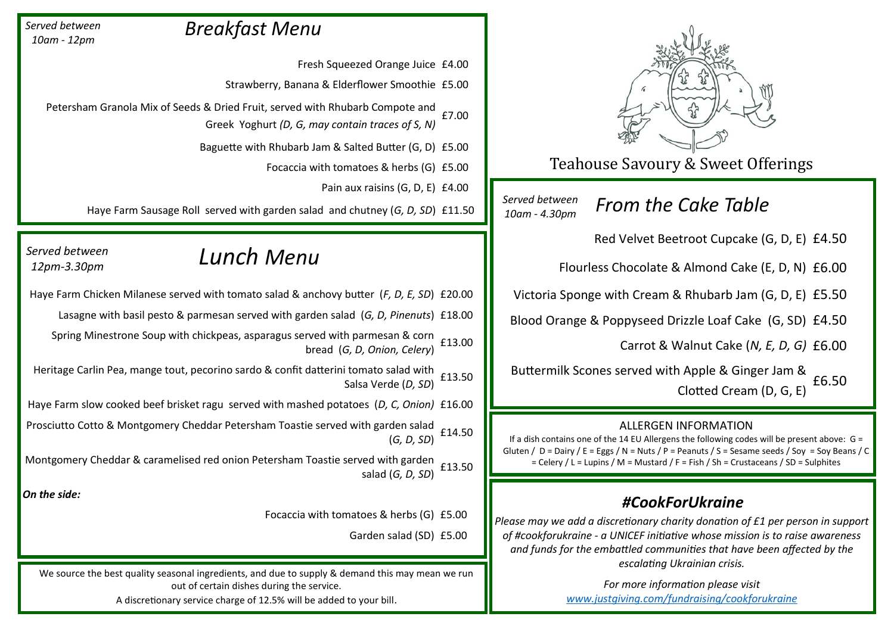

Teahouse Savoury & Sweet Offerings

*Served between 10am - 4.30pm*

*From the Cake Table*

Red Velvet Beetroot Cupcake (G, D, E) £4.50

Flourless Chocolate & Almond Cake (E, D, N) £6.00

Victoria Sponge with Cream & Rhubarb Jam (G, D, E) £5.50

Blood Orange & Poppyseed Drizzle Loaf Cake (G, SD) £4.50

Carrot & Walnut Cake (*N, E, D, G)* £6.00

Buttermilk Scones served with Apple & Ginger Jam &  $C$ Clotted Cream (D, G, E)  $6.50$ 

### ALLERGEN INFORMATION

If a dish contains one of the 14 EU Allergens the following codes will be present above:  $G =$ Gluten /  $D =$  Dairy / E = Eggs / N = Nuts / P = Peanuts / S = Sesame seeds / Soy = Soy Beans / C = Celery / L = Lupins / M = Mustard / F = Fish / Sh = Crustaceans / SD = Sulphites

## *#CookForUkraine*

*Please may we add a discretionary charity donation of £1 per person in support of #cookforukraine - a UNICEF initiative whose mission is to raise awareness and funds for the embattled communities that have been affected by the escalating Ukrainian crisis.* 

> *For more information please visit [www.justgiving.com/fundraising/cookforukraine](http://www.justgiving.com/fundraising/cookforukraine)*

# *Breakfast Menu*

*Served between 10am - 12pm*

*Served between 12pm-3.30pm*

Fresh Squeezed Orange Juice £4.00

Strawberry, Banana & Elderflower Smoothie £5.00

Petersham Granola Mix of Seeds & Dried Fruit, served with Rhubarb Compote and Greek Yoghurt *(D, G, may contain traces of S, N)*  £7.00

Baguette with Rhubarb Jam & Salted Butter (G, D) £5.00

Focaccia with tomatoes & herbs (G) £5.00

Pain aux raisins (G, D, E) £4.00

Haye Farm Sausage Roll served with garden salad and chutney (*G, D, SD*) £11.50

# *Lunch Menu*

Haye Farm Chicken Milanese served with tomato salad & anchovy butter (*F, D, E, SD*) £20.00 Lasagne with basil pesto & parmesan served with garden salad (*G, D, Pinenuts*) £18.00 Spring Minestrone Soup with chickpeas, asparagus served with parmesan & corn bread (*G, D, Onion, Celery*) £13.00 Heritage Carlin Pea, mange tout, pecorino sardo & confit datterini tomato salad with Salsa Verde (*D, SD*) £13.50 Haye Farm slow cooked beef brisket ragu served with mashed potatoes (*D, C, Onion)* £16.00 Prosciutto Cotto & Montgomery Cheddar Petersham Toastie served with garden salad (*G, D, SD*) £14.50 Montgomery Cheddar & caramelised red onion Petersham Toastie served with garden salad (*G, D, SD*) £13.50 *On the side:*

Focaccia with tomatoes & herbs (G) £5.00

Garden salad (SD) £5.00

We source the best quality seasonal ingredients, and due to supply & demand this may mean we run out of certain dishes during the service.

A discretionary service charge of 12.5% will be added to your bill.